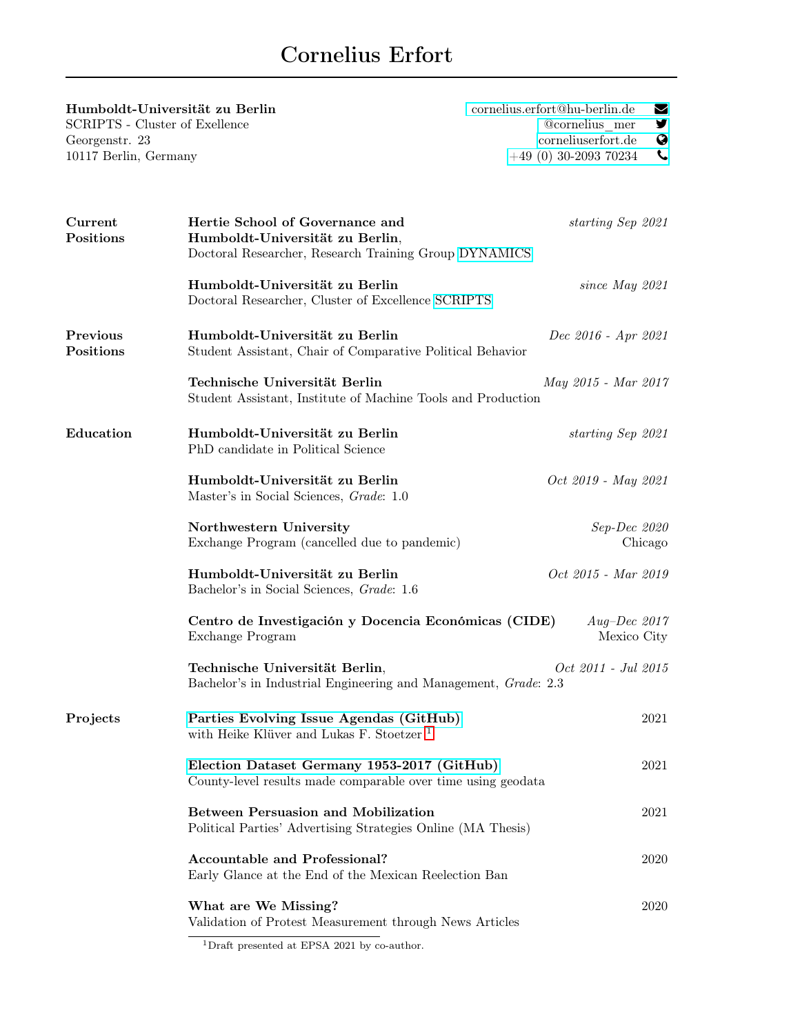## Cornelius Erfort

| Humboldt-Universität zu Berlin<br><b>SCRIPTS</b> - Cluster of Exellence |                                                                                                                             | cornelius.erfort@hu-berlin.de<br>M<br>@cornelius mer<br>У                 |  |  |  |  |
|-------------------------------------------------------------------------|-----------------------------------------------------------------------------------------------------------------------------|---------------------------------------------------------------------------|--|--|--|--|
| Georgenstr. 23<br>10117 Berlin, Germany                                 |                                                                                                                             | $\bullet$<br>corneliuserfort.de<br>$\mathbf{C}$<br>$+49(0)$ 30-2093 70234 |  |  |  |  |
| Current<br>Positions                                                    | Hertie School of Governance and<br>Humboldt-Universität zu Berlin,<br>Doctoral Researcher, Research Training Group DYNAMICS | starting Sep 2021                                                         |  |  |  |  |
|                                                                         | Humboldt-Universität zu Berlin<br>Doctoral Researcher, Cluster of Excellence SCRIPTS                                        | since May $2021$                                                          |  |  |  |  |
| Previous<br>Positions                                                   | Humboldt-Universität zu Berlin<br>Student Assistant, Chair of Comparative Political Behavior                                | Dec 2016 - Apr 2021                                                       |  |  |  |  |
|                                                                         | Technische Universität Berlin<br>Student Assistant, Institute of Machine Tools and Production                               | May 2015 - Mar 2017                                                       |  |  |  |  |
| Education                                                               | Humboldt-Universität zu Berlin<br>PhD candidate in Political Science                                                        | starting Sep 2021                                                         |  |  |  |  |
|                                                                         | Humboldt-Universität zu Berlin<br>Master's in Social Sciences, Grade: 1.0                                                   | Oct 2019 - May 2021                                                       |  |  |  |  |
|                                                                         | Northwestern University<br>Exchange Program (cancelled due to pandemic)                                                     | Sep-Dec 2020<br>Chicago                                                   |  |  |  |  |
|                                                                         | Humboldt-Universität zu Berlin<br>Bachelor's in Social Sciences, Grade: 1.6                                                 | Oct 2015 - Mar 2019                                                       |  |  |  |  |
|                                                                         | Centro de Investigación y Docencia Económicas (CIDE)<br>Exchange Program                                                    | Aug–Dec 2017<br>Mexico City                                               |  |  |  |  |
|                                                                         | Technische Universität Berlin,<br>Oct 2011 - Jul 2015<br>Bachelor's in Industrial Engineering and Management, Grade: 2.3    |                                                                           |  |  |  |  |
| Projects                                                                | Parties Evolving Issue Agendas (GitHub)<br>with Heike Klüver and Lukas F. Stoetzer <sup>1</sup>                             | 2021                                                                      |  |  |  |  |
|                                                                         | Election Dataset Germany 1953-2017 (GitHub)<br>County-level results made comparable over time using geodata                 | 2021                                                                      |  |  |  |  |
|                                                                         | <b>Between Persuasion and Mobilization</b><br>Political Parties' Advertising Strategies Online (MA Thesis)                  | 2021                                                                      |  |  |  |  |
|                                                                         | <b>Accountable and Professional?</b><br>Early Glance at the End of the Mexican Reelection Ban                               | 2020                                                                      |  |  |  |  |
|                                                                         | What are We Missing?<br>Validation of Protest Measurement through News Articles                                             | 2020                                                                      |  |  |  |  |

<span id="page-0-0"></span> $^{\overline{1}}$  Draft presented at EPSA 2021 by co-author.